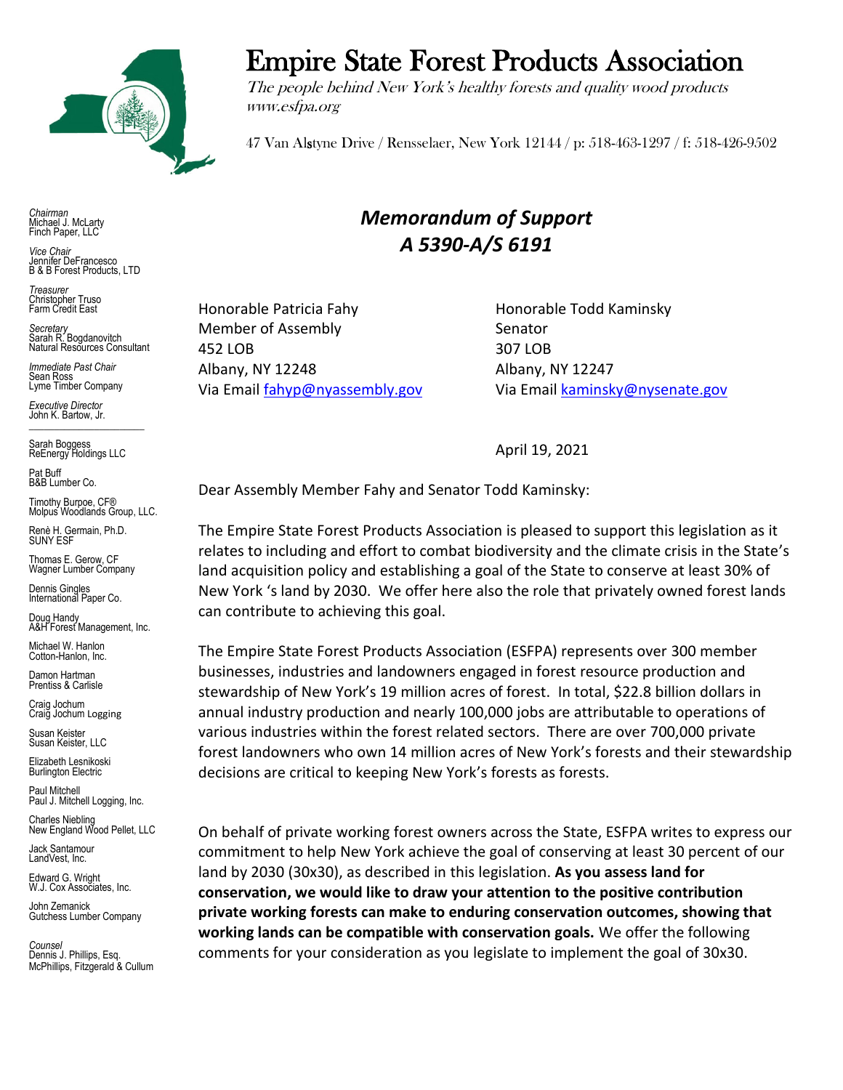

# Empire State Forest Products Association

The people behind New York's healthy forests and quality wood products www.esfpa.org

47 Van Alstyne Drive / Rensselaer, New York 12144 / p: 518-463-1297 / f: 518-426-9502

*Chairman* Michael J. McLarty Finch Paper, LLC

*Vice Chair* Jennifer DeFrancesco B & B Forest Products, LTD

*Treasurer* Christopher Truso Farm Credit East

*Secretary* Sarah R. Bogdanovitch Natural Resources Consultant

*Immediate Past Chair* Sean Ross Lyme Timber Company

*Executive Director* John K. Bartow, Jr.  $\mathcal{L}_\text{max}$  , we can also the set of the set of the set of the set of the set of the set of the set of the set of the set of the set of the set of the set of the set of the set of the set of the set of the set of the se

Sarah Boggess ReEnergy Holdings LLC

Pat Buff B&B Lumber Co.

Timothy Burpoe, CF® Molpus Woodlands Group, LLC.

Renè H. Germain, Ph.D. SUNY ESF

Thomas E. Gerow, CF Wagner Lumber Company

Dennis Gingles International Paper Co.

Doug Handy A&H Forest Management, Inc.

Michael W. Hanlon Cotton-Hanlon, Inc.

Damon Hartman Prentiss & Carlisle

Craig Jochum Craig Jochum Logging

Susan Keister Susan Keister, LLC

Elizabeth Lesnikoski **Burlington Electric** 

Paul Mitchell Paul J. Mitchell Logging, Inc.

Charles Niebling New England Wood Pellet, LLC

Jack Santamour LandVest, Inc.

Edward G. Wright W.J. Cox Associates, Inc.

John Zemanick Gutchess Lumber Company

*Counsel* Dennis J. Phillips, Esq. McPhillips, Fitzgerald & Cullum

## *Memorandum of Support A 5390-A/S 6191*

Honorable Patricia Fahy **Honorable Todd Kaminsky** Member of Assembly Senator 452 LOB 307 LOB Albany, NY 12248 Albany, NY 12247

Via Email [fahyp@nyassembly.gov](mailto:fahyp@nyassembly.gov) Via Email [kaminsky@nysenate.gov](mailto:kaminsky@nysenate.gov)

April 19, 2021

Dear Assembly Member Fahy and Senator Todd Kaminsky:

The Empire State Forest Products Association is pleased to support this legislation as it relates to including and effort to combat biodiversity and the climate crisis in the State's land acquisition policy and establishing a goal of the State to conserve at least 30% of New York 's land by 2030. We offer here also the role that privately owned forest lands can contribute to achieving this goal.

The Empire State Forest Products Association (ESFPA) represents over 300 member businesses, industries and landowners engaged in forest resource production and stewardship of New York's 19 million acres of forest. In total, \$22.8 billion dollars in annual industry production and nearly 100,000 jobs are attributable to operations of various industries within the forest related sectors. There are over 700,000 private forest landowners who own 14 million acres of New York's forests and their stewardship decisions are critical to keeping New York's forests as forests.

On behalf of private working forest owners across the State, ESFPA writes to express our commitment to help New York achieve the goal of conserving at least 30 percent of our land by 2030 (30x30), as described in this legislation. **As you assess land for conservation, we would like to draw your attention to the positive contribution private working forests can make to enduring conservation outcomes, showing that working lands can be compatible with conservation goals.** We offer the following comments for your consideration as you legislate to implement the goal of 30x30.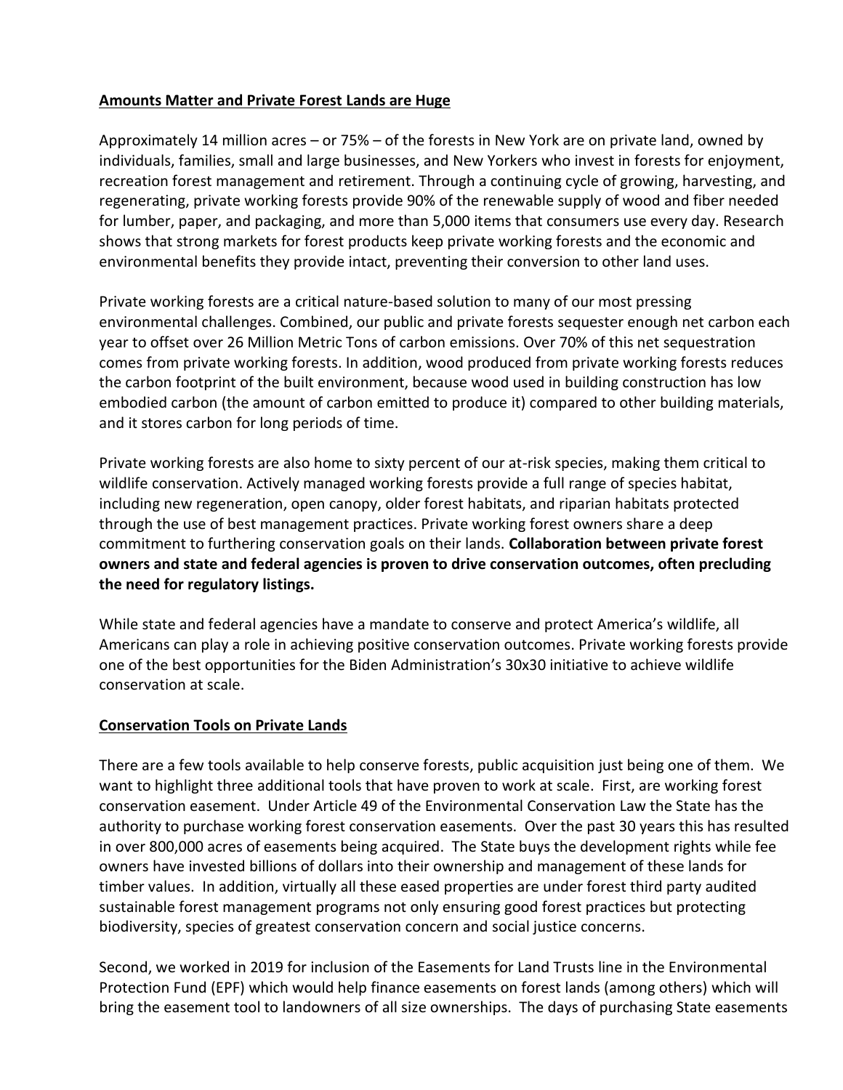#### **Amounts Matter and Private Forest Lands are Huge**

Approximately 14 million acres – or 75% – of the forests in New York are on private land, owned by individuals, families, small and large businesses, and New Yorkers who invest in forests for enjoyment, recreation forest management and retirement. Through a continuing cycle of growing, harvesting, and regenerating, private working forests provide 90% of the renewable supply of wood and fiber needed for lumber, paper, and packaging, and more than 5,000 items that consumers use every day. Research shows that strong markets for forest products keep private working forests and the economic and environmental benefits they provide intact, preventing their conversion to other land uses.

Private working forests are a critical nature-based solution to many of our most pressing environmental challenges. Combined, our public and private forests sequester enough net carbon each year to offset over 26 Million Metric Tons of carbon emissions. Over 70% of this net sequestration comes from private working forests. In addition, wood produced from private working forests reduces the carbon footprint of the built environment, because wood used in building construction has low embodied carbon (the amount of carbon emitted to produce it) compared to other building materials, and it stores carbon for long periods of time.

Private working forests are also home to sixty percent of our at-risk species, making them critical to wildlife conservation. Actively managed working forests provide a full range of species habitat, including new regeneration, open canopy, older forest habitats, and riparian habitats protected through the use of best management practices. Private working forest owners share a deep commitment to furthering conservation goals on their lands. **Collaboration between private forest owners and state and federal agencies is proven to drive conservation outcomes, often precluding the need for regulatory listings.** 

While state and federal agencies have a mandate to conserve and protect America's wildlife, all Americans can play a role in achieving positive conservation outcomes. Private working forests provide one of the best opportunities for the Biden Administration's 30x30 initiative to achieve wildlife conservation at scale.

#### **Conservation Tools on Private Lands**

There are a few tools available to help conserve forests, public acquisition just being one of them. We want to highlight three additional tools that have proven to work at scale. First, are working forest conservation easement. Under Article 49 of the Environmental Conservation Law the State has the authority to purchase working forest conservation easements. Over the past 30 years this has resulted in over 800,000 acres of easements being acquired. The State buys the development rights while fee owners have invested billions of dollars into their ownership and management of these lands for timber values. In addition, virtually all these eased properties are under forest third party audited sustainable forest management programs not only ensuring good forest practices but protecting biodiversity, species of greatest conservation concern and social justice concerns.

Second, we worked in 2019 for inclusion of the Easements for Land Trusts line in the Environmental Protection Fund (EPF) which would help finance easements on forest lands (among others) which will bring the easement tool to landowners of all size ownerships. The days of purchasing State easements